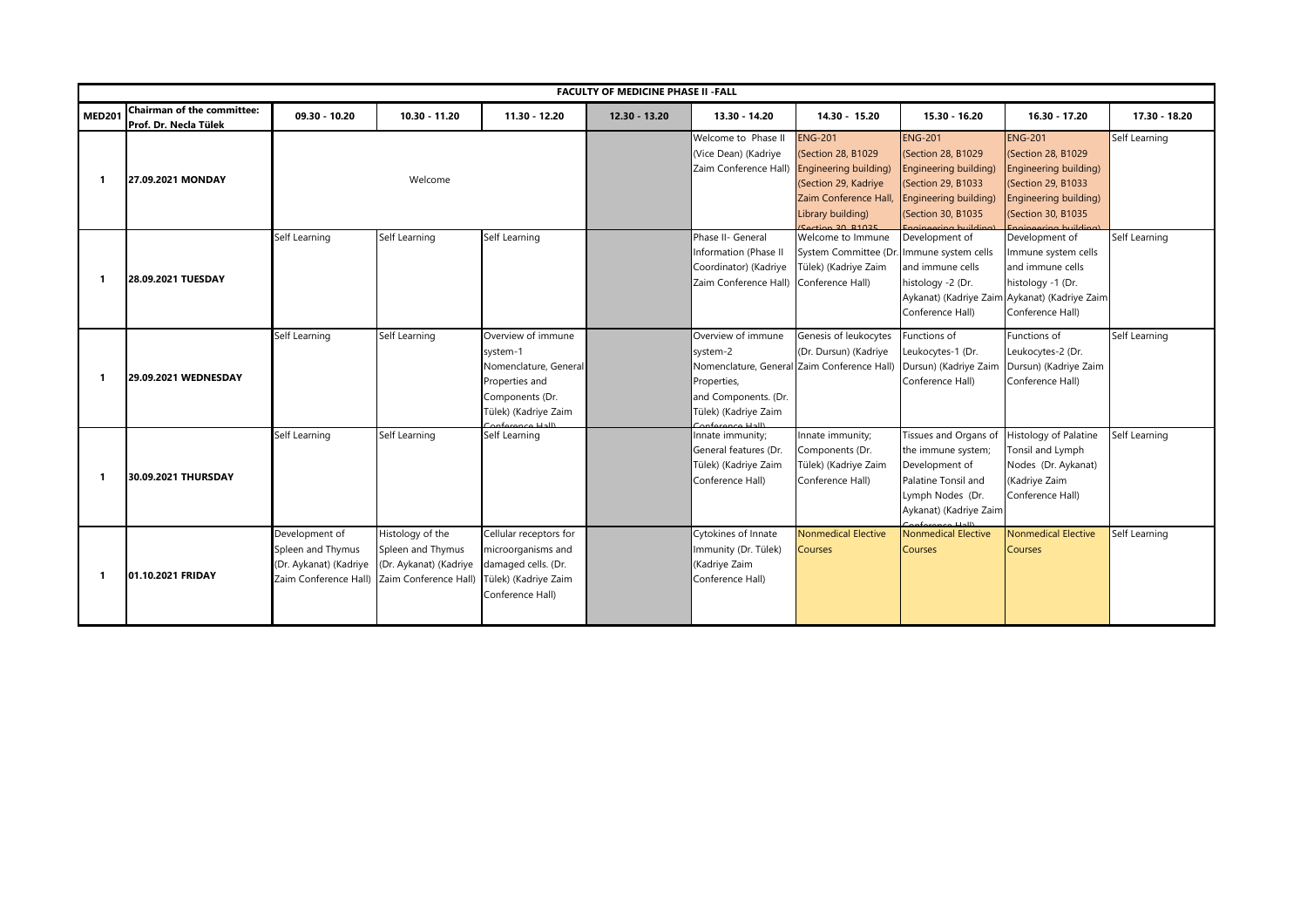|               | <b>FACULTY OF MEDICINE PHASE II - FALL</b>          |                                                                                        |                                                                                          |                                                                                                                      |                 |                                                                                                               |                                                                                                                                                        |                                                                                                                                    |                                                                                                                                                     |               |
|---------------|-----------------------------------------------------|----------------------------------------------------------------------------------------|------------------------------------------------------------------------------------------|----------------------------------------------------------------------------------------------------------------------|-----------------|---------------------------------------------------------------------------------------------------------------|--------------------------------------------------------------------------------------------------------------------------------------------------------|------------------------------------------------------------------------------------------------------------------------------------|-----------------------------------------------------------------------------------------------------------------------------------------------------|---------------|
| <b>MED201</b> | Chairman of the committee:<br>Prof. Dr. Necla Tülek | $09.30 - 10.20$                                                                        | 10.30 - 11.20                                                                            | 11.30 - 12.20                                                                                                        | $12.30 - 13.20$ | 13.30 - 14.20                                                                                                 | 14.30 - 15.20                                                                                                                                          | 15.30 - 16.20                                                                                                                      | 16.30 - 17.20                                                                                                                                       | 17.30 - 18.20 |
| -1            | 27.09.2021 MONDAY                                   |                                                                                        | Welcome                                                                                  |                                                                                                                      |                 | Welcome to Phase II<br>(Vice Dean) (Kadriye<br>Zaim Conference Hall) Engineering building)                    | <b>ENG-201</b><br>(Section 28, B1029<br>(Section 29, Kadriye<br>Zaim Conference Hall,<br>Library building)<br>$\frac{1}{2}$ action $\frac{2}{1}$ R1025 | <b>ENG-201</b><br>(Section 28, B1029<br>Engineering building)<br>(Section 29, B1033<br>Engineering building)<br>(Section 30, B1035 | <b>ENG-201</b><br>(Section 28, B1029<br>Engineering building)<br>(Section 29, B1033<br>Engineering building)<br>(Section 30, B1035                  | Self Learning |
| 1             | 28.09.2021 TUESDAY                                  | Self Learning                                                                          | Self Learning                                                                            | Self Learning                                                                                                        |                 | Phase II- General<br>Information (Phase II<br>Coordinator) (Kadriye<br>Zaim Conference Hall) Conference Hall) | Welcome to Immune<br>System Committee (Dr.<br>Tülek) (Kadriye Zaim                                                                                     | Development of<br>Immune system cells<br>and immune cells<br>histology -2 (Dr.<br>Conference Hall)                                 | Development of<br>Immune system cells<br>and immune cells<br>histology -1 (Dr.<br>Aykanat) (Kadriye Zaim Aykanat) (Kadriye Zaim<br>Conference Hall) | Self Learning |
|               | 29.09.2021 WEDNESDAY                                | Self Learning                                                                          | Self Learning                                                                            | Overview of immune<br>system-1<br>Nomenclature, General<br>Properties and<br>Components (Dr.<br>Tülek) (Kadriye Zaim |                 | Overview of immune<br>system-2<br>Properties,<br>and Components. (Dr.<br>Tülek) (Kadriye Zaim                 | Genesis of leukocytes<br>(Dr. Dursun) (Kadriye<br>Nomenclature, General Zaim Conference Hall)                                                          | Functions of<br>Leukocytes-1 (Dr.<br>Dursun) (Kadriye Zaim<br>Conference Hall)                                                     | Functions of<br>Leukocytes-2 (Dr.<br>Dursun) (Kadriye Zaim<br>Conference Hall)                                                                      | Self Learning |
| -1            | 30.09.2021 THURSDAY                                 | Self Learning                                                                          | Self Learning                                                                            | Self Learning                                                                                                        |                 | Innate immunity;<br>General features (Dr.<br>Tülek) (Kadriye Zaim<br>Conference Hall)                         | Innate immunity;<br>Components (Dr.<br>Tülek) (Kadriye Zaim<br>Conference Hall)                                                                        | Tissues and Organs of<br>the immune system;<br>Development of<br>Palatine Tonsil and<br>Lymph Nodes (Dr.<br>Aykanat) (Kadriye Zaim | Histology of Palatine<br>Tonsil and Lymph<br>Nodes (Dr. Aykanat)<br>(Kadriye Zaim<br>Conference Hall)                                               | Self Learning |
| -1            | 01.10.2021 FRIDAY                                   | Development of<br>Spleen and Thymus<br>(Dr. Aykanat) (Kadriye<br>Zaim Conference Hall) | Histology of the<br>Spleen and Thymus<br>(Dr. Aykanat) (Kadriye<br>Zaim Conference Hall) | Cellular receptors for<br>microorganisms and<br>damaged cells. (Dr.<br>Tülek) (Kadriye Zaim<br>Conference Hall)      |                 | Cytokines of Innate<br>Immunity (Dr. Tülek)<br>(Kadriye Zaim<br>Conference Hall)                              | <b>Nonmedical Elective</b><br>Courses                                                                                                                  | <b>Nonmedical Elective</b><br><b>Courses</b>                                                                                       | <b>Nonmedical Elective</b><br><b>Courses</b>                                                                                                        | Self Learning |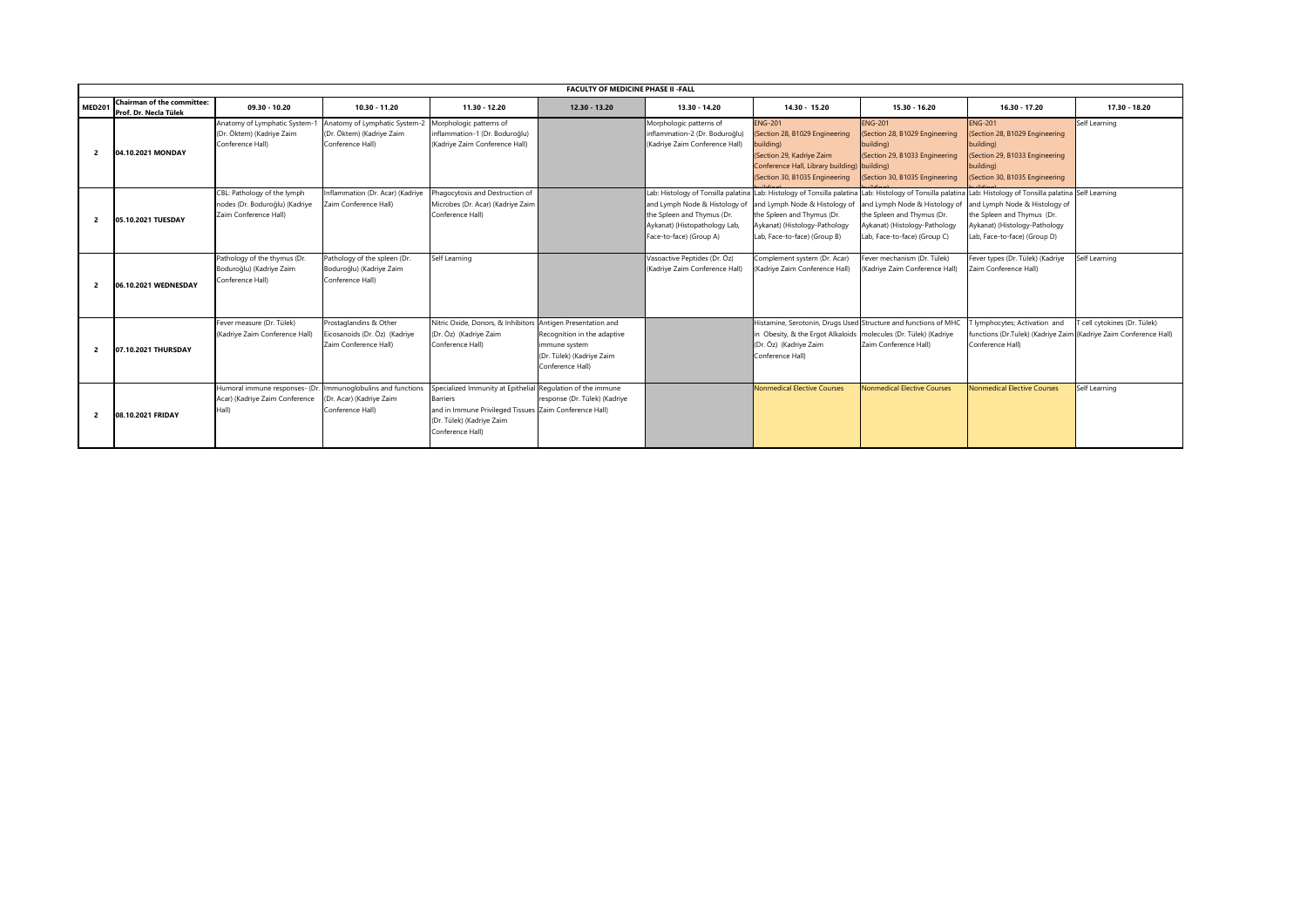|                | <b>FACULTY OF MEDICINE PHASE II -FALL</b>                  |                                                                                        |                                                                                  |                                                                                                                                                                  |                                                                                               |                                                                                                                         |                                                                                                                                                                                                        |                                                                                                                                                                     |                                                                                                                                                                                   |                              |
|----------------|------------------------------------------------------------|----------------------------------------------------------------------------------------|----------------------------------------------------------------------------------|------------------------------------------------------------------------------------------------------------------------------------------------------------------|-----------------------------------------------------------------------------------------------|-------------------------------------------------------------------------------------------------------------------------|--------------------------------------------------------------------------------------------------------------------------------------------------------------------------------------------------------|---------------------------------------------------------------------------------------------------------------------------------------------------------------------|-----------------------------------------------------------------------------------------------------------------------------------------------------------------------------------|------------------------------|
| <b>MED201</b>  | <b>Chairman of the committee:</b><br>Prof. Dr. Necla Tülek | 09.30 - 10.20                                                                          | $10.30 - 11.20$                                                                  | 11.30 - 12.20                                                                                                                                                    | $12.30 - 13.20$                                                                               | 13.30 - 14.20                                                                                                           | 14.30 - 15.20                                                                                                                                                                                          | 15.30 - 16.20                                                                                                                                                       | 16.30 - 17.20                                                                                                                                                                     | 17.30 - 18.20                |
| $\overline{2}$ | 04.10.2021 MONDAY                                          | Anatomy of Lymphatic System-<br>(Dr. Öktem) (Kadriye Zaim<br>Conference Hall)          | Anatomy of Lymphatic System-7<br>(Dr. Öktem) (Kadriye Zaim<br>Conference Hall)   | Morphologic patterns of<br>inflammation-1 (Dr. Boduroğlu)<br>(Kadriye Zaim Conference Hall)                                                                      |                                                                                               | Morphologic patterns of<br>inflammation-2 (Dr. Boduroğlu)<br>(Kadriye Zaim Conference Hall)                             | <b>ENG-201</b><br>(Section 28, B1029 Engineering<br>building)<br>(Section 29, Kadriye Zaim<br>Conference Hall, Library building) building)<br>(Section 30, B1035 Engineering                           | <b>ENG-201</b><br>(Section 28, B1029 Engineering<br>building)<br>(Section 29, B1033 Engineering<br>(Section 30, B1035 Engineering                                   | <b>ENG-201</b><br>(Section 28, B1029 Engineering<br>building)<br>(Section 29, B1033 Engineering<br>building)<br>(Section 30, B1035 Engineering                                    | Self Learning                |
| $\overline{2}$ | 05.10.2021 TUESDAY                                         | CBL: Pathology of the lymph<br>nodes (Dr. Boduroğlu) (Kadriye<br>Zaim Conference Hall) | Inflammation (Dr. Acar) (Kadriye<br>Zaim Conference Hall)                        | hagocytosis and Destruction of<br>Microbes (Dr. Acar) (Kadriye Zaim<br>Conference Hall)                                                                          |                                                                                               | and Lymph Node & Histology of<br>the Spleen and Thymus (Dr.<br>Aykanat) (Histopathology Lab,<br>Face-to-face) (Group A) | ab: Histology of Tonsilla palatina Lab: Histology of Tonsilla palatina<br>and Lymph Node & Histology of<br>the Spleen and Thymus (Dr.<br>Aykanat) (Histology-Pathology<br>Lab, Face-to-face) (Group B) | Lab: Histology of Tonsilla palatina<br>and Lymph Node & Histology of<br>the Spleen and Thymus (Dr.<br>Aykanat) (Histology-Pathology<br>Lab, Face-to-face) (Group C) | Lab: Histology of Tonsilla palatina Self Learning<br>and Lymph Node & Histology of<br>the Spleen and Thymus (Dr.<br>Aykanat) (Histology-Pathology<br>Lab, Face-to-face) (Group D) |                              |
| $\overline{2}$ | 06.10.2021 WEDNESDAY                                       | Pathology of the thymus (Dr.<br>Boduroğlu) (Kadriye Zaim<br>Conference Hall)           | Pathology of the spleen (Dr.<br>Boduroğlu) (Kadriye Zaim<br>Conference Hall)     | Self Learning                                                                                                                                                    |                                                                                               | Vasoactive Peptides (Dr. Öz)<br>(Kadriye Zaim Conference Hall)                                                          | Complement system (Dr. Acar)<br>(Kadriye Zaim Conference Hall)                                                                                                                                         | Fever mechanism (Dr. Tülek)<br>(Kadriye Zaim Conference Hall)                                                                                                       | Fever types (Dr. Tülek) (Kadriye<br>Zaim Conference Hall)                                                                                                                         | Self Learning                |
| $\overline{2}$ | 07.10.2021 THURSDAY                                        | Fever measure (Dr. Tülek)<br>(Kadriye Zaim Conference Hall)                            | Prostaglandins & Other<br>Eicosanoids (Dr. Öz) (Kadriye<br>Zaim Conference Hall) | Nitric Oxide, Donors, & Inhibitors Antigen Presentation and<br>(Dr. Öz) (Kadriye Zaim<br>Conference Hall)                                                        | Recognition in the adaptive<br>immune system<br>(Dr. Tülek) (Kadriye Zaim<br>Conference Hall) |                                                                                                                         | Histamine, Serotonin, Drugs Used Structure and functions of MHC<br>1 Obesity, & the Ergot Alkaloids   molecules (Dr. Tülek) (Kadriye<br>(Dr. Öz) (Kadriye Zaim<br>Conference Hall)                     | Zaim Conference Hall)                                                                                                                                               | lymphocytes; Activation and<br>functions (Dr.Tulek) (Kadriye Zaim (Kadriye Zaim Conference Hall)<br>Conference Hall)                                                              | T cell cytokines (Dr. Tülek) |
| $\overline{2}$ | 08.10.2021 FRIDAY                                          | Humoral immune responses- (Dr.<br>Acar) (Kadriye Zaim Conference<br>Hall)              | Immunoglobulins and functions<br>(Dr. Acar) (Kadriye Zaim<br>Conference Hall)    | Specialized Immunity at Epithelial<br><b>Barriers</b><br>and in Immune Privileged Tissues Zaim Conference Hall)<br>(Dr. Tülek) (Kadriye Zaim<br>Conference Hall) | Regulation of the immune<br>response (Dr. Tülek) (Kadriye                                     |                                                                                                                         | <b>Nonmedical Elective Courses</b>                                                                                                                                                                     | Nonmedical Elective Courses                                                                                                                                         | Nonmedical Elective Courses                                                                                                                                                       | Self Learning                |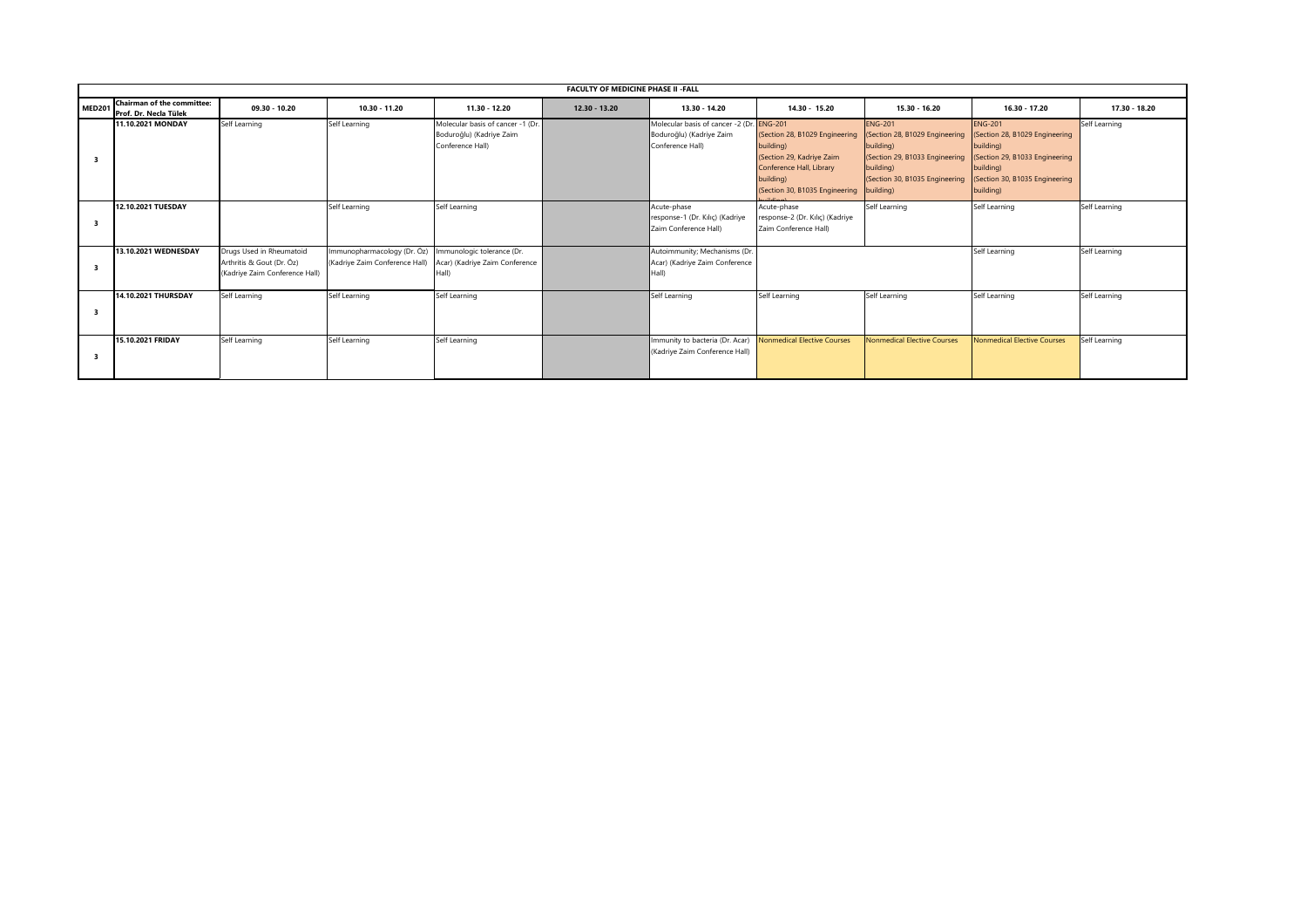|                    | <b>FACULTY OF MEDICINE PHASE II - FALL</b>                 |                                                                                         |                                                                                                                           |                                                                                   |               |                                                                                           |                                                                                                                                                               |                                                                                                                                                |                                                                                                                                                             |               |  |
|--------------------|------------------------------------------------------------|-----------------------------------------------------------------------------------------|---------------------------------------------------------------------------------------------------------------------------|-----------------------------------------------------------------------------------|---------------|-------------------------------------------------------------------------------------------|---------------------------------------------------------------------------------------------------------------------------------------------------------------|------------------------------------------------------------------------------------------------------------------------------------------------|-------------------------------------------------------------------------------------------------------------------------------------------------------------|---------------|--|
| MED <sub>201</sub> | <b>Chairman of the committee:</b><br>Prof. Dr. Necla Tülek | $09.30 - 10.20$                                                                         | $10.30 - 11.20$                                                                                                           | $11.30 - 12.20$                                                                   | 12.30 - 13.20 | 13.30 - 14.20                                                                             | $14.30 - 15.20$                                                                                                                                               | 15.30 - 16.20                                                                                                                                  | 16.30 - 17.20                                                                                                                                               | 17.30 - 18.20 |  |
|                    | <b>11.10.2021 MONDAY</b>                                   | Self Learning                                                                           | Self Learning                                                                                                             | Molecular basis of cancer -1 (Dr.<br>Boduroğlu) (Kadriye Zaim<br>Conference Hall) |               | Molecular basis of cancer -2 (Dr. ENG-201<br>Boduroğlu) (Kadriye Zaim<br>Conference Hall) | (Section 28, B1029 Engineering<br>building)<br>(Section 29, Kadriye Zaim<br>Conference Hall, Library<br>building)<br>(Section 30, B1035 Engineering building) | <b>ENG-201</b><br>(Section 28, B1029 Engineering<br>building)<br>(Section 29, B1033 Engineering<br>building)<br>(Section 30, B1035 Engineering | <b>ENG-201</b><br>(Section 28, B1029 Engineering<br>building)<br>(Section 29, B1033 Engineering<br>building)<br>(Section 30, B1035 Engineering<br>building) | Self Learning |  |
| 3                  | <b>12.10.2021 TUESDAY</b>                                  |                                                                                         | Self Learning                                                                                                             | Self Learning                                                                     |               | Acute-phase<br>response-1 (Dr. Kılıç) (Kadriye<br>Zaim Conference Hall)                   | Acute-phase<br>response-2 (Dr. Kılıç) (Kadriye<br>Zaim Conference Hall)                                                                                       | Self Learning                                                                                                                                  | Self Learning                                                                                                                                               | Self Learning |  |
|                    | 13.10.2021 WEDNESDAY                                       | Drugs Used in Rheumatoid<br>Arthritis & Gout (Dr. Öz)<br>(Kadriye Zaim Conference Hall) | Immunopharmacology (Dr. Öz)   Immunologic tolerance (Dr.<br>(Kadriye Zaim Conference Hall) Acar) (Kadriye Zaim Conference | Hall)                                                                             |               | Autoimmunity; Mechanisms (Dr.<br>Acar) (Kadriye Zaim Conference<br>Hall)                  |                                                                                                                                                               |                                                                                                                                                | Self Learning                                                                                                                                               | Self Learning |  |
| 3                  | 14.10.2021 THURSDAY                                        | Self Learning                                                                           | Self Learning                                                                                                             | Self Learning                                                                     |               | Self Learning                                                                             | Self Learning                                                                                                                                                 | Self Learning                                                                                                                                  | Self Learning                                                                                                                                               | Self Learning |  |
|                    | 15.10.2021 FRIDAY                                          | Self Learning                                                                           | Self Learning                                                                                                             | Self Learning                                                                     |               | Immunity to bacteria (Dr. Acar)<br>(Kadriye Zaim Conference Hall)                         | <b>Nonmedical Elective Courses</b>                                                                                                                            | <b>Nonmedical Elective Courses</b>                                                                                                             | <b>Nonmedical Elective Courses</b>                                                                                                                          | Self Learning |  |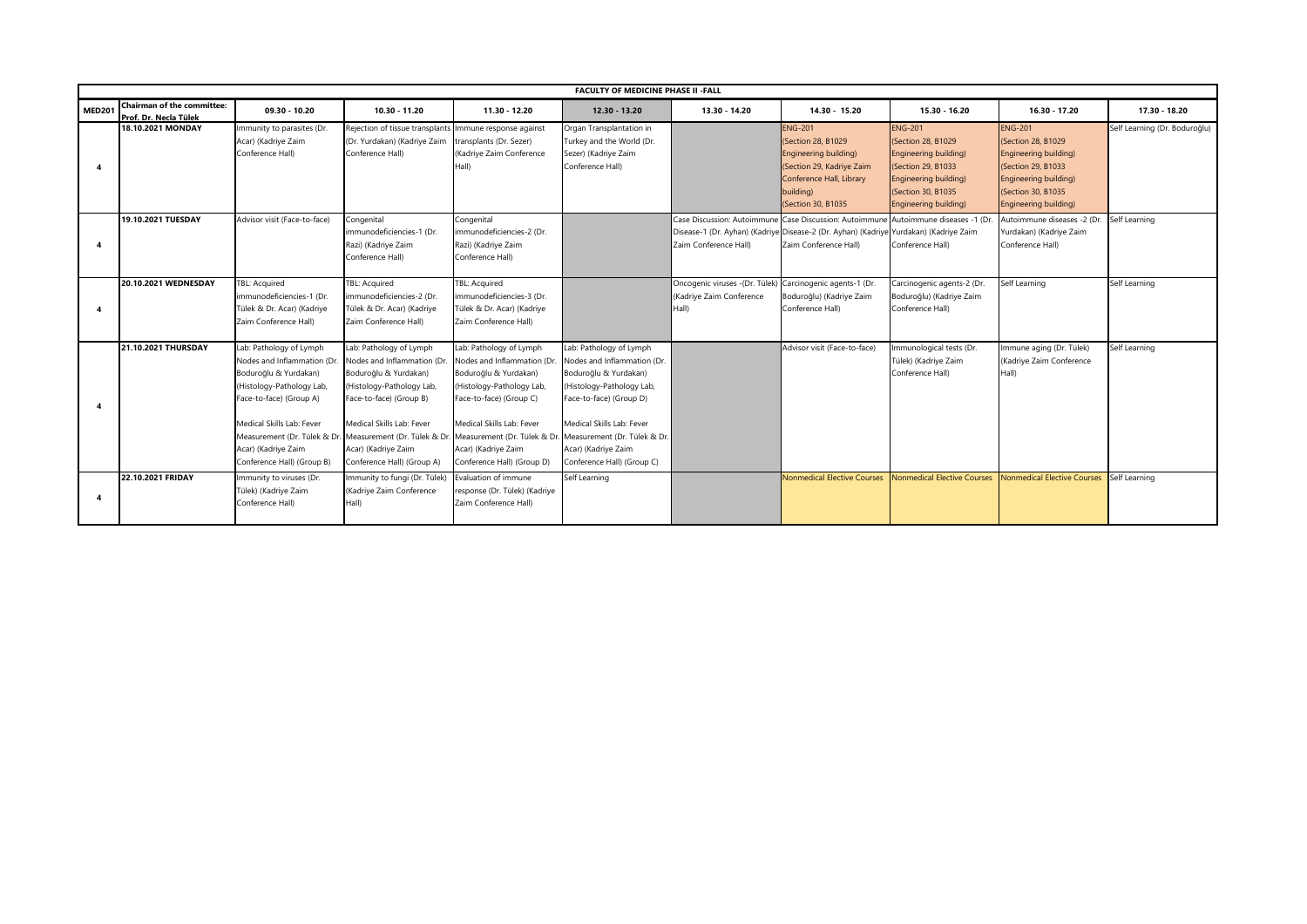|               | <b>FACULTY OF MEDICINE PHASE II - FALL</b>                 |                                                                                                                                                                                                                           |                                                                                                                                                                                                                                                                                                                                                  |                                                                                                                                                                                                                          |                                                                                                                                                                                                                           |                                                                                                                                                                           |                                                                                                                                                           |                                                                                                                                                                     |                                                                                                                                                                       |                               |
|---------------|------------------------------------------------------------|---------------------------------------------------------------------------------------------------------------------------------------------------------------------------------------------------------------------------|--------------------------------------------------------------------------------------------------------------------------------------------------------------------------------------------------------------------------------------------------------------------------------------------------------------------------------------------------|--------------------------------------------------------------------------------------------------------------------------------------------------------------------------------------------------------------------------|---------------------------------------------------------------------------------------------------------------------------------------------------------------------------------------------------------------------------|---------------------------------------------------------------------------------------------------------------------------------------------------------------------------|-----------------------------------------------------------------------------------------------------------------------------------------------------------|---------------------------------------------------------------------------------------------------------------------------------------------------------------------|-----------------------------------------------------------------------------------------------------------------------------------------------------------------------|-------------------------------|
| <b>MED201</b> | <b>Chairman of the committee:</b><br>Prof. Dr. Necla Tülek | $09.30 - 10.20$                                                                                                                                                                                                           | 10.30 - 11.20                                                                                                                                                                                                                                                                                                                                    | 11.30 - 12.20                                                                                                                                                                                                            | $12.30 - 13.20$                                                                                                                                                                                                           | 13.30 - 14.20                                                                                                                                                             | 14.30 - 15.20                                                                                                                                             | 15.30 - 16.20                                                                                                                                                       | 16.30 - 17.20                                                                                                                                                         | 17.30 - 18.20                 |
|               | 18.10.2021 MONDAY                                          | Immunity to parasites (Dr.<br>Acar) (Kadriye Zaim<br>Conference Hall)                                                                                                                                                     | Rejection of tissue transplants Immune response against<br>(Dr. Yurdakan) (Kadriye Zaim<br>Conference Hall)                                                                                                                                                                                                                                      | transplants (Dr. Sezer)<br>(Kadriye Zaim Conference<br>Hall)                                                                                                                                                             | Organ Transplantation in<br>Turkey and the World (Dr.<br>Sezer) (Kadriye Zaim<br>Conference Hall)                                                                                                                         |                                                                                                                                                                           | <b>ENG-201</b><br>(Section 28, B1029<br>Engineering building)<br>(Section 29, Kadriye Zaim<br>Conference Hall, Library<br>building)<br>(Section 30, B1035 | <b>ENG-201</b><br>(Section 28, B1029)<br>Engineering building)<br>(Section 29, B1033<br>Engineering building)<br>(Section 30, B1035<br><b>Engineering building)</b> | <b>ENG-201</b><br>(Section 28, B1029)<br>Engineering building)<br>(Section 29, B1033<br>Engineering building)<br>(Section 30, B1035)<br><b>Engineering building</b> ) | Self Learning (Dr. Boduroğlu) |
|               | 19.10.2021 TUESDAY                                         | Advisor visit (Face-to-face)                                                                                                                                                                                              | Congenital<br>immunodeficiencies-1 (Dr.<br>Razi) (Kadriye Zaim<br>Conference Hall)                                                                                                                                                                                                                                                               | Congenital<br>immunodeficiencies-2 (Dr.<br>Razi) (Kadriye Zaim<br>Conference Hall)                                                                                                                                       |                                                                                                                                                                                                                           | Case Discussion: Autoimmune Case Discussion: Autoimmune<br>Disease-1 (Dr. Ayhan) (Kadriye Disease-2 (Dr. Ayhan) (Kadriye Yurdakan) (Kadriye Zaim<br>Zaim Conference Hall) | Zaim Conference Hall)                                                                                                                                     | Autoimmune diseases -1 (Dr.<br>Conference Hall)                                                                                                                     | Autoimmune diseases -2 (Dr.<br>Yurdakan) (Kadriye Zaim<br>Conference Hall)                                                                                            | Self Learning                 |
|               | 20.10.2021 WEDNESDAY                                       | <b>FBL: Acquired</b><br>immunodeficiencies-1 (Dr.<br>Tülek & Dr. Acar) (Kadriye<br>Zaim Conference Hall)                                                                                                                  | TBL: Acquired<br>immunodeficiencies-2 (Dr.<br>Tülek & Dr. Acar) (Kadriye<br>Zaim Conference Hall)                                                                                                                                                                                                                                                | TBL: Acquired<br>immunodeficiencies-3 (Dr.<br>Tülek & Dr. Acar) (Kadriye<br>Zaim Conference Hall)                                                                                                                        |                                                                                                                                                                                                                           | Oncogenic viruses -(Dr. Tülek)<br>(Kadriye Zaim Conference<br>Hall)                                                                                                       | Carcinogenic agents-1 (Dr.<br>Boduroğlu) (Kadriye Zaim<br>Conference Hall)                                                                                | Carcinogenic agents-2 (Dr.<br>Boduroğlu) (Kadriye Zaim<br>Conference Hall)                                                                                          | Self Learning                                                                                                                                                         | Self Learning                 |
|               | 21.10.2021 THURSDAY                                        | Lab: Pathology of Lymph<br>Nodes and Inflammation (Dr.<br>Boduroğlu & Yurdakan)<br>(Histology-Pathology Lab,<br>Face-to-face) (Group A)<br>Medical Skills Lab: Fever<br>Acar) (Kadriye Zaim<br>Conference Hall) (Group B) | Lab: Pathology of Lymph<br>Nodes and Inflammation (Dr.<br>Boduroğlu & Yurdakan)<br>(Histology-Pathology Lab,<br>Face-to-face) (Group B)<br>Medical Skills Lab: Fever<br>Measurement (Dr. Tülek & Dr. Measurement (Dr. Tülek & Dr. Measurement (Dr. Tülek & Dr. Measurement (Dr. Tülek & Dr.<br>Acar) (Kadriye Zaim<br>Conference Hall) (Group A) | Lab: Pathology of Lymph<br>Nodes and Inflammation (Dr<br>Boduroğlu & Yurdakan)<br>(Histology-Pathology Lab,<br>Face-to-face) (Group C)<br>Medical Skills Lab: Fever<br>Acar) (Kadriye Zaim<br>Conference Hall) (Group D) | Lab: Pathology of Lymph<br>Nodes and Inflammation (Dr.<br>Boduroğlu & Yurdakan)<br>(Histology-Pathology Lab,<br>Face-to-face) (Group D)<br>Medical Skills Lab: Fever<br>Acar) (Kadriye Zaim<br>Conference Hall) (Group C) |                                                                                                                                                                           | Advisor visit (Face-to-face)                                                                                                                              | Immunological tests (Dr.<br>Tülek) (Kadriye Zaim<br>Conference Hall)                                                                                                | Immune aging (Dr. Tülek)<br>(Kadriye Zaim Conference<br>Hall)                                                                                                         | Self Learning                 |
|               | 22.10.2021 FRIDAY                                          | Immunity to viruses (Dr.<br>Tülek) (Kadriye Zaim<br>Conference Hall)                                                                                                                                                      | Immunity to fungi (Dr. Tülek)<br>Kadriye Zaim Conference<br>Hall)                                                                                                                                                                                                                                                                                | Evaluation of immune<br>response (Dr. Tülek) (Kadriye<br>Zaim Conference Hall)                                                                                                                                           | Self Learning                                                                                                                                                                                                             |                                                                                                                                                                           | <b>Nonmedical Elective Courses</b>                                                                                                                        | Nonmedical Elective Courses                                                                                                                                         | Nonmedical Elective Courses                                                                                                                                           | Self Learning                 |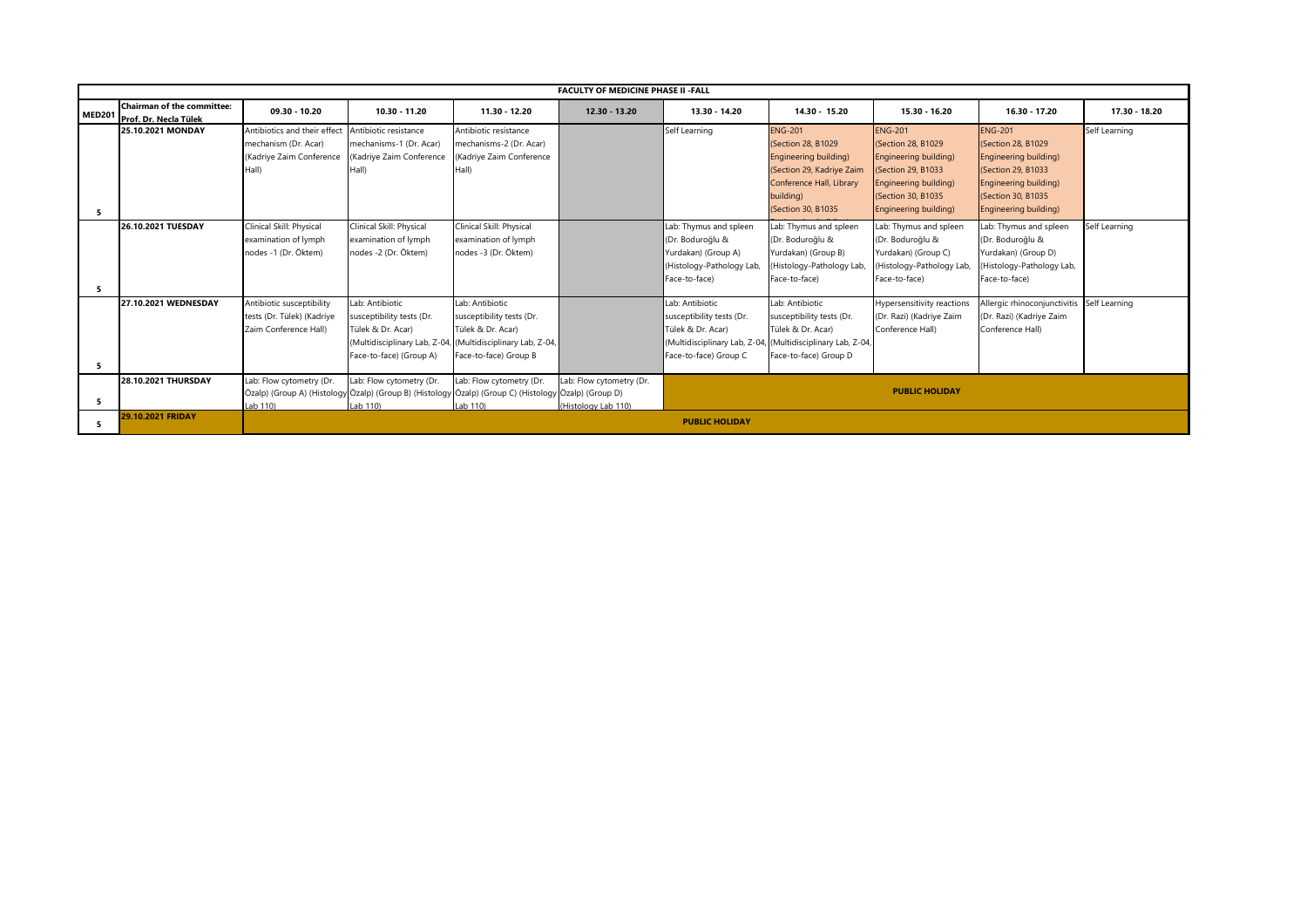|               | <b>FACULTY OF MEDICINE PHASE II -FALL</b>                  |                              |                                                                                                      |                           |                          |                           |                                                             |                            |                                            |               |
|---------------|------------------------------------------------------------|------------------------------|------------------------------------------------------------------------------------------------------|---------------------------|--------------------------|---------------------------|-------------------------------------------------------------|----------------------------|--------------------------------------------|---------------|
| <b>MED201</b> | <b>Chairman of the committee:</b><br>Prof. Dr. Necla Tülek | $09.30 - 10.20$              | 10.30 - 11.20                                                                                        | 11.30 - 12.20             | $12.30 - 13.20$          | 13.30 - 14.20             | 14.30 - 15.20                                               | 15.30 - 16.20              | 16.30 - 17.20                              | 17.30 - 18.20 |
|               | 25.10.2021 MONDAY                                          | Antibiotics and their effect | Antibiotic resistance                                                                                | Antibiotic resistance     |                          | Self Learning             | <b>ENG-201</b>                                              | <b>ENG-201</b>             | <b>ENG-201</b>                             | Self Learning |
|               |                                                            | mechanism (Dr. Acar)         | mechanisms-1 (Dr. Acar)                                                                              | nechanisms-2 (Dr. Acar)   |                          |                           | (Section 28, B1029)                                         | (Section 28, B1029)        | (Section 28, B1029)                        |               |
|               |                                                            | (Kadriye Zaim Conference     | Kadriye Zaim Conference)                                                                             | Kadriye Zaim Conference   |                          |                           | Engineering building)                                       | Engineering building)      | <b>Engineering building)</b>               |               |
|               |                                                            | Hall)                        | Hall)                                                                                                | Hall)                     |                          |                           | (Section 29, Kadriye Zaim                                   | (Section 29, B1033         | (Section 29, B1033)                        |               |
|               |                                                            |                              |                                                                                                      |                           |                          |                           | Conference Hall, Library                                    | Engineering building)      | <b>Engineering building)</b>               |               |
|               |                                                            |                              |                                                                                                      |                           |                          |                           | building)                                                   | (Section 30, B1035)        | <b>(Section 30, B1035)</b>                 |               |
| -5            |                                                            |                              |                                                                                                      |                           |                          |                           | (Section 30, B1035)                                         | Engineering building)      | <b>Engineering building</b> )              |               |
|               | 26.10.2021 TUESDAY                                         | Clinical Skill: Physical     | Clinical Skill: Physical                                                                             | Clinical Skill: Physical  |                          | Lab: Thymus and spleen    | Lab: Thymus and spleen                                      | Lab: Thymus and spleen     | Lab: Thymus and spleen                     | Self Learning |
|               |                                                            | examination of lymph         | examination of lymph                                                                                 | examination of lymph      |                          | (Dr. Boduroğlu &          | (Dr. Boduroğlu &                                            | (Dr. Boduroğlu &           | (Dr. Boduroğlu &                           |               |
|               |                                                            | nodes -1 (Dr. Öktem)         | nodes -2 (Dr. Öktem)                                                                                 | nodes -3 (Dr. Öktem)      |                          | Yurdakan) (Group A)       | Yurdakan) (Group B)                                         | Yurdakan) (Group C)        | Yurdakan) (Group D)                        |               |
|               |                                                            |                              |                                                                                                      |                           |                          | (Histology-Pathology Lab) | (Histology-Pathology Lab,                                   | (Histology-Pathology Lab,  | (Histology-Pathology Lab,                  |               |
|               |                                                            |                              |                                                                                                      |                           |                          | Face-to-face)             | Face-to-face)                                               | Face-to-face)              | Face-to-face)                              |               |
| -5            |                                                            |                              |                                                                                                      |                           |                          |                           |                                                             |                            |                                            |               |
|               | 27.10.2021 WEDNESDAY                                       | Antibiotic susceptibility    | Lab: Antibiotic                                                                                      | Lab: Antibiotic           |                          | Lab: Antibiotic           | Lab: Antibiotic                                             | Hypersensitivity reactions | Allergic rhinoconjunctivitis Self Learning |               |
|               |                                                            | tests (Dr. Tülek) (Kadriye   | susceptibility tests (Dr.                                                                            | susceptibility tests (Dr. |                          | susceptibility tests (Dr. | susceptibility tests (Dr.                                   | (Dr. Razi) (Kadriye Zaim   | (Dr. Razi) (Kadriye Zaim                   |               |
|               |                                                            | Zaim Conference Hall)        | Tülek & Dr. Acar)                                                                                    | Tülek & Dr. Acar)         |                          | Tülek & Dr. Acar)         | Tülek & Dr. Acar)                                           | Conference Hall)           | Conference Hall)                           |               |
|               |                                                            |                              | (Multidisciplinary Lab, Z-04, (Multidisciplinary Lab, Z-04,                                          |                           |                          |                           | (Multidisciplinary Lab, Z-04, (Multidisciplinary Lab, Z-04, |                            |                                            |               |
|               |                                                            |                              | Face-to-face) (Group A)                                                                              | Face-to-face) Group B     |                          | Face-to-face) Group C     | Face-to-face) Group D                                       |                            |                                            |               |
| -5            |                                                            |                              |                                                                                                      |                           |                          |                           |                                                             |                            |                                            |               |
|               | 28.10.2021 THURSDAY                                        | Lab: Flow cytometry (Dr.     | Lab: Flow cytometry (Dr.                                                                             | Lab: Flow cytometry (Dr.  | Lab: Flow cytometry (Dr. |                           |                                                             |                            |                                            |               |
|               |                                                            |                              | Özalp) (Group A) (Histology Özalp) (Group B) (Histology Özalp) (Group C) (Histology Özalp) (Group D) |                           |                          |                           |                                                             | <b>PUBLIC HOLIDAY</b>      |                                            |               |
| -5            |                                                            | Lab 110)                     | Lah 110)                                                                                             | l ab 110)                 | (Histology Lab 110)      |                           |                                                             |                            |                                            |               |
| -5            | 29.10.2021 FRIDAY                                          |                              |                                                                                                      |                           |                          | <b>PUBLIC HOLIDAY</b>     |                                                             |                            |                                            |               |